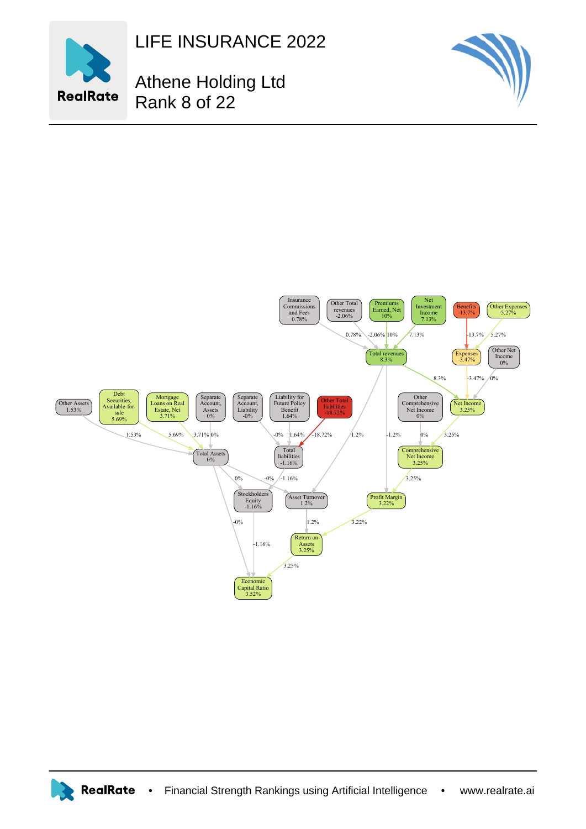

LIFE INSURANCE 2022

Athene Holding Ltd Rank 8 of 22